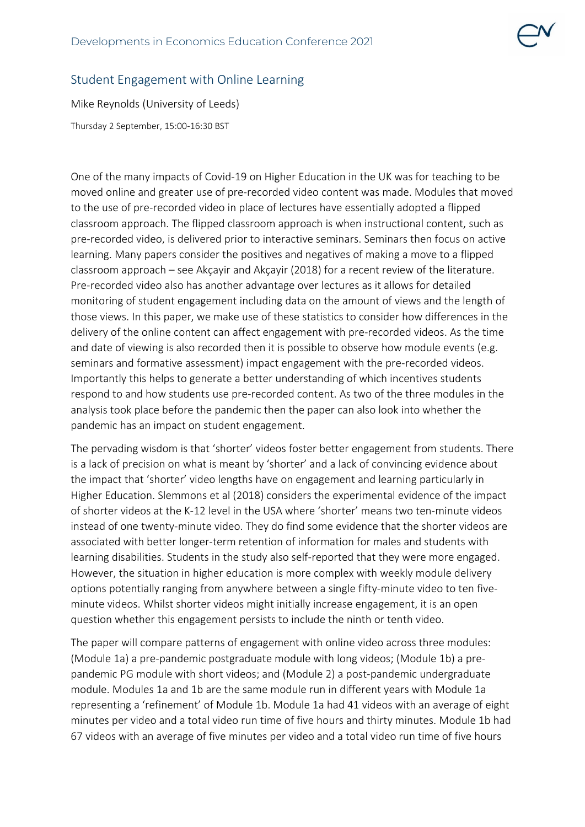## Student Engagement with Online Learning

Mike Reynolds (University of Leeds) Thursday 2 September, 15:00-16:30 BST

One of the many impacts of Covid-19 on Higher Education in the UK was for teaching to be moved online and greater use of pre-recorded video content was made. Modules that moved to the use of pre-recorded video in place of lectures have essentially adopted a flipped classroom approach. The flipped classroom approach is when instructional content, such as pre-recorded video, is delivered prior to interactive seminars. Seminars then focus on active learning. Many papers consider the positives and negatives of making a move to a flipped classroom approach – see Akçayir and Akçayir (2018) for a recent review of the literature. Pre-recorded video also has another advantage over lectures as it allows for detailed monitoring of student engagement including data on the amount of views and the length of those views. In this paper, we make use of these statistics to consider how differences in the delivery of the online content can affect engagement with pre-recorded videos. As the time and date of viewing is also recorded then it is possible to observe how module events (e.g. seminars and formative assessment) impact engagement with the pre-recorded videos. Importantly this helps to generate a better understanding of which incentives students respond to and how students use pre-recorded content. As two of the three modules in the analysis took place before the pandemic then the paper can also look into whether the pandemic has an impact on student engagement.

The pervading wisdom is that 'shorter' videos foster better engagement from students. There is a lack of precision on what is meant by 'shorter' and a lack of convincing evidence about the impact that 'shorter' video lengths have on engagement and learning particularly in Higher Education. Slemmons et al (2018) considers the experimental evidence of the impact of shorter videos at the K-12 level in the USA where 'shorter' means two ten-minute videos instead of one twenty-minute video. They do find some evidence that the shorter videos are associated with better longer-term retention of information for males and students with learning disabilities. Students in the study also self-reported that they were more engaged. However, the situation in higher education is more complex with weekly module delivery options potentially ranging from anywhere between a single fifty-minute video to ten fiveminute videos. Whilst shorter videos might initially increase engagement, it is an open question whether this engagement persists to include the ninth or tenth video.

The paper will compare patterns of engagement with online video across three modules: (Module 1a) a pre-pandemic postgraduate module with long videos; (Module 1b) a prepandemic PG module with short videos; and (Module 2) a post-pandemic undergraduate module. Modules 1a and 1b are the same module run in different years with Module 1a representing a 'refinement' of Module 1b. Module 1a had 41 videos with an average of eight minutes per video and a total video run time of five hours and thirty minutes. Module 1b had 67 videos with an average of five minutes per video and a total video run time of five hours